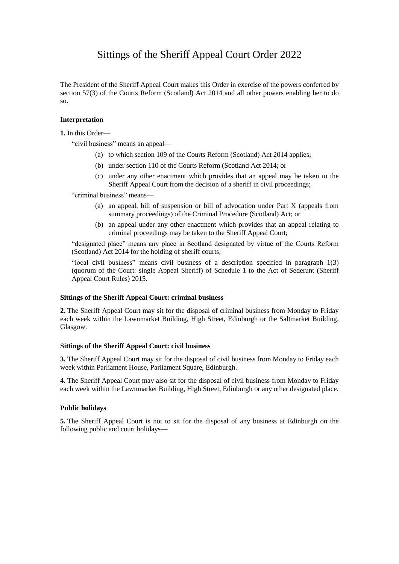# Sittings of the Sheriff Appeal Court Order 2022

The President of the Sheriff Appeal Court makes this Order in exercise of the powers conferred by section 57(3) of the Courts Reform (Scotland) Act 2014 and all other powers enabling her to do so.

#### **Interpretation**

**1.** In this Order—

"civil business" means an appeal—

- (a) to which section 109 of the Courts Reform (Scotland) Act 2014 applies;
- (b) under section 110 of the Courts Reform (Scotland Act 2014; or
- (c) under any other enactment which provides that an appeal may be taken to the Sheriff Appeal Court from the decision of a sheriff in civil proceedings;

"criminal business" means—

- (a) an appeal, bill of suspension or bill of advocation under Part X (appeals from summary proceedings) of the Criminal Procedure (Scotland) Act; or
- (b) an appeal under any other enactment which provides that an appeal relating to criminal proceedings may be taken to the Sheriff Appeal Court;

"designated place" means any place in Scotland designated by virtue of the Courts Reform (Scotland) Act 2014 for the holding of sheriff courts;

"local civil business" means civil business of a description specified in paragraph 1(3) (quorum of the Court: single Appeal Sheriff) of Schedule 1 to the Act of Sederunt (Sheriff Appeal Court Rules) 2015.

### **Sittings of the Sheriff Appeal Court: criminal business**

**2.** The Sheriff Appeal Court may sit for the disposal of criminal business from Monday to Friday each week within the Lawnmarket Building, High Street, Edinburgh or the Saltmarket Building, Glasgow.

#### **Sittings of the Sheriff Appeal Court: civil business**

**3.** The Sheriff Appeal Court may sit for the disposal of civil business from Monday to Friday each week within Parliament House, Parliament Square, Edinburgh.

**4.** The Sheriff Appeal Court may also sit for the disposal of civil business from Monday to Friday each week within the Lawnmarket Building, High Street, Edinburgh or any other designated place.

#### **Public holidays**

**5.** The Sheriff Appeal Court is not to sit for the disposal of any business at Edinburgh on the following public and court holidays—